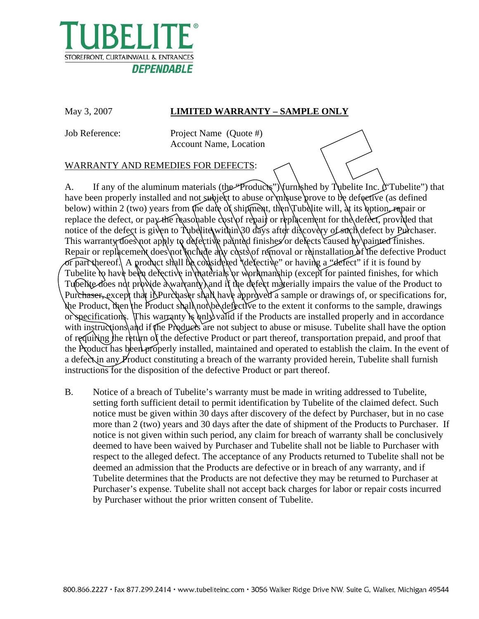

## May 3, 2007 **LIMITED WARRANTY – SAMPLE ONLY**

Job Reference: Project Name (Quote #) Account Name, Location

## WARRANTY AND REMEDIES FOR DEFECTS:

A. If any of the aluminum materials (the *Products*") furnished by Tubelite Inc. ("Tubelite") that have been properly installed and not subject to abuse or misuse prove to be defective (as defined below) within 2 (two) years from the date of shipment, then Tubelite will, at its option, repair or replace the defect, or pay the reasonable cost of repair or replacement for the defect, provided that notice of the defect is given to Tubellite within 30 days after discovery of such defect by Purchaser. This warranty does not apply to defective painted finishes or defects caused by painted finishes. Repair or replacement does not include any costs of removal or reinstallation of the defective Product or part thereof. A product shall be considered "defective" or having a "defect" if it is found by Tubelite to have been defective in materials or workmanship (except for painted finishes, for which Tubelite does not provide a warranty and if the defect materially impairs the value of the Product to Purchaser, except that if Purchaser shall have approved a sample or drawings of, or specifications for, the Product, then the Product shall not be defective to the extent it conforms to the sample, drawings or specifications. This warranty is only valid if the Products are installed properly and in accordance with instructions and if the Products are not subject to abuse or misuse. Tubelite shall have the option of requiring the return of the defective Product or part thereof, transportation prepaid, and proof that the Product has been properly installed, maintained and operated to establish the claim. In the event of a defect in any Product constituting a breach of the warranty provided herein, Tubelite shall furnish instructions for the disposition of the defective Product or part thereof.

B. Notice of a breach of Tubelite's warranty must be made in writing addressed to Tubelite, setting forth sufficient detail to permit identification by Tubelite of the claimed defect. Such notice must be given within 30 days after discovery of the defect by Purchaser, but in no case more than 2 (two) years and 30 days after the date of shipment of the Products to Purchaser. If notice is not given within such period, any claim for breach of warranty shall be conclusively deemed to have been waived by Purchaser and Tubelite shall not be liable to Purchaser with respect to the alleged defect. The acceptance of any Products returned to Tubelite shall not be deemed an admission that the Products are defective or in breach of any warranty, and if Tubelite determines that the Products are not defective they may be returned to Purchaser at Purchaser's expense. Tubelite shall not accept back charges for labor or repair costs incurred by Purchaser without the prior written consent of Tubelite.